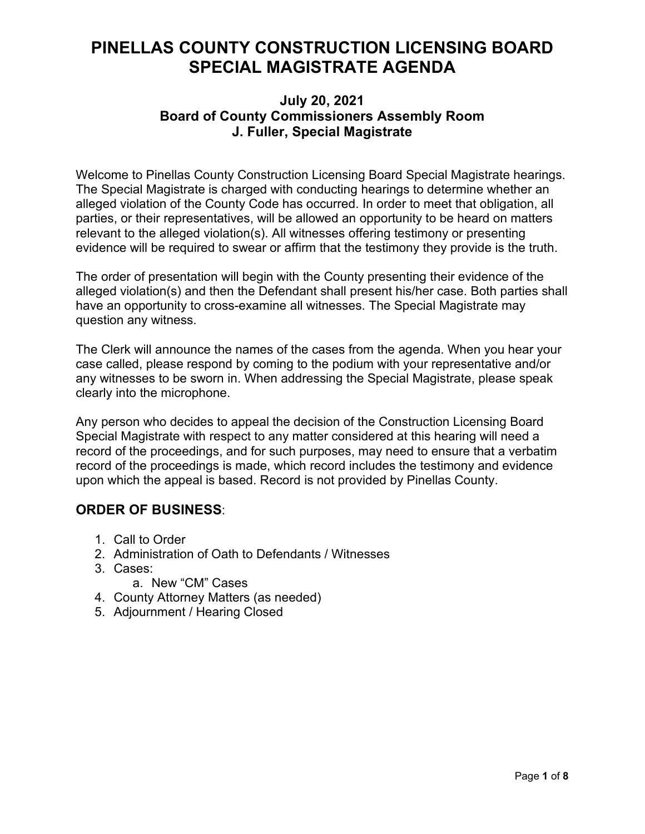# **PINELLAS COUNTY CONSTRUCTION LICENSING BOARD SPECIAL MAGISTRATE AGENDA**

### **July 20, 2021 Board of County Commissioners Assembly Room J. Fuller, Special Magistrate**

Welcome to Pinellas County Construction Licensing Board Special Magistrate hearings. The Special Magistrate is charged with conducting hearings to determine whether an alleged violation of the County Code has occurred. In order to meet that obligation, all parties, or their representatives, will be allowed an opportunity to be heard on matters relevant to the alleged violation(s). All witnesses offering testimony or presenting evidence will be required to swear or affirm that the testimony they provide is the truth.

The order of presentation will begin with the County presenting their evidence of the alleged violation(s) and then the Defendant shall present his/her case. Both parties shall have an opportunity to cross-examine all witnesses. The Special Magistrate may question any witness.

The Clerk will announce the names of the cases from the agenda. When you hear your case called, please respond by coming to the podium with your representative and/or any witnesses to be sworn in. When addressing the Special Magistrate, please speak clearly into the microphone.

Any person who decides to appeal the decision of the Construction Licensing Board Special Magistrate with respect to any matter considered at this hearing will need a record of the proceedings, and for such purposes, may need to ensure that a verbatim record of the proceedings is made, which record includes the testimony and evidence upon which the appeal is based. Record is not provided by Pinellas County.

### **ORDER OF BUSINESS**:

- 1. Call to Order
- 2. Administration of Oath to Defendants / Witnesses
- 3. Cases:
	- a. New "CM" Cases
- 4. County Attorney Matters (as needed)
- 5. Adjournment / Hearing Closed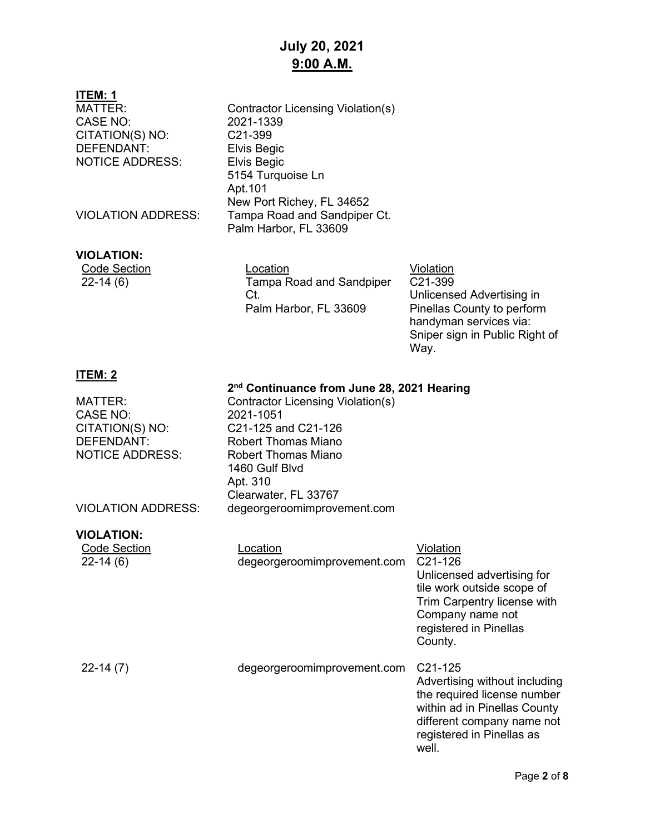### **July 20, 2021 9:00 A.M.**

### **ITEM: 1**

CITATION(S) NO: DEFENDANT: Elvis Begic NOTICE ADDRESS: Elvis Begic

#### **VIOLATION:**

| Code Section |
|--------------|
| 22-14 (6)    |

MATTER: Contractor Licensing Violation(s)<br>CASE NO: 2021-1339 2021-1339<br>C21-399 5154 Turquoise Ln Apt.101 New Port Richey, FL 34652 VIOLATION ADDRESS: Tampa Road and Sandpiper Ct. Palm Harbor, FL 33609

> Location Violation (6) Tampa Road and Sandpiper Ct. Palm Harbor, FL 33609

C21-399 Unlicensed Advertising in Pinellas County to perform handyman services via: Sniper sign in Public Right of Way.

### **ITEM: 2**

#### **2nd Continuance from June 28, 2021 Hearing**

| <b>MATTER:</b><br><b>CASE NO:</b><br>CITATION(S) NO:<br>DEFENDANT:<br><b>NOTICE ADDRESS:</b> | <b>Contractor Licensing Violation(s)</b><br>2021-1051<br>C21-125 and C21-126<br><b>Robert Thomas Miano</b><br><b>Robert Thomas Miano</b><br>1460 Gulf Blvd<br>Apt. 310<br>Clearwater, FL 33767 |                                                                                                                                                                               |
|----------------------------------------------------------------------------------------------|------------------------------------------------------------------------------------------------------------------------------------------------------------------------------------------------|-------------------------------------------------------------------------------------------------------------------------------------------------------------------------------|
| <b>VIOLATION ADDRESS:</b>                                                                    | degeorgeroomimprovement.com                                                                                                                                                                    |                                                                                                                                                                               |
| <b>VIOLATION:</b><br><b>Code Section</b><br>$22-14(6)$                                       | Location<br>degeorgeroomimprovement.com                                                                                                                                                        | Violation<br>C21-126<br>Unlicensed advertising for<br>tile work outside scope of<br>Trim Carpentry license with<br>Company name not<br>registered in Pinellas<br>County.      |
| $22-14(7)$                                                                                   | degeorgeroomimprovement.com                                                                                                                                                                    | $C21-125$<br>Advertising without including<br>the required license number<br>within ad in Pinellas County<br>different company name not<br>registered in Pinellas as<br>well. |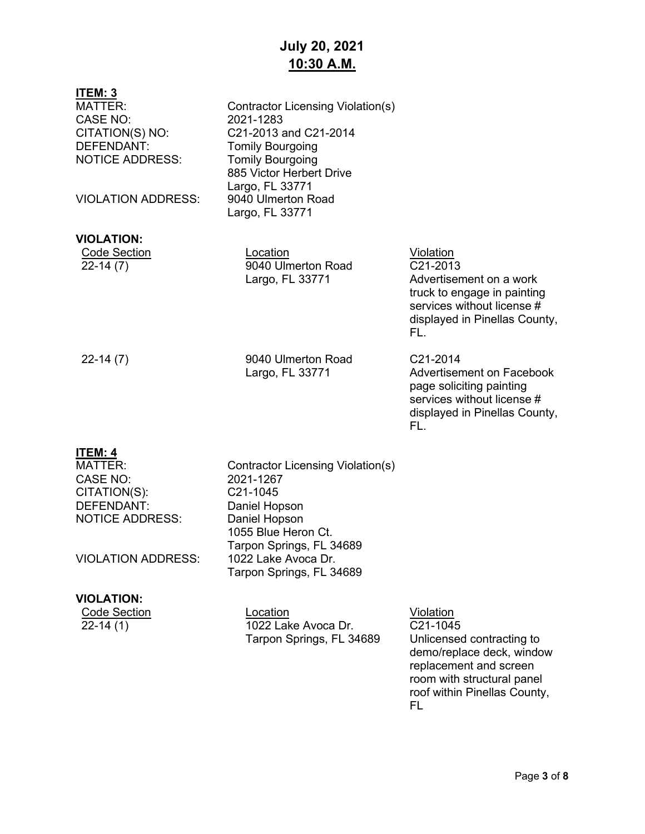## **July 20, 2021 10:30 A.M.**

| ITEM: 3<br><b>MATTER:</b><br>CASE NO:<br>CITATION(S) NO:<br>DEFENDANT:<br><b>NOTICE ADDRESS:</b><br><b>VIOLATION ADDRESS:</b>     | Contractor Licensing Violation(s)<br>2021-1283<br>C21-2013 and C21-2014<br><b>Tomily Bourgoing</b><br><b>Tomily Bourgoing</b><br>885 Victor Herbert Drive<br>Largo, FL 33771<br>9040 Ulmerton Road<br>Largo, FL 33771 |                                                                                                                                                       |
|-----------------------------------------------------------------------------------------------------------------------------------|-----------------------------------------------------------------------------------------------------------------------------------------------------------------------------------------------------------------------|-------------------------------------------------------------------------------------------------------------------------------------------------------|
| <b>VIOLATION:</b><br><b>Code Section</b><br>$22-14(7)$                                                                            | Location<br>9040 Ulmerton Road<br>Largo, FL 33771                                                                                                                                                                     | Violation<br>C21-2013<br>Advertisement on a work<br>truck to engage in painting<br>services without license #<br>displayed in Pinellas County,<br>FL. |
| $22-14(7)$                                                                                                                        | 9040 Ulmerton Road<br>Largo, FL 33771                                                                                                                                                                                 | C21-2014<br><b>Advertisement on Facebook</b><br>page soliciting painting<br>services without license #<br>displayed in Pinellas County,<br>FL.        |
| <u>ITEM: 4</u><br><b>MATTER:</b><br>CASE NO:<br>CITATION(S):<br>DEFENDANT:<br><b>NOTICE ADDRESS:</b><br><b>VIOLATION ADDRESS:</b> | Contractor Licensing Violation(s)<br>2021-1267<br>C21-1045<br>Daniel Hopson<br>Daniel Hopson<br>1055 Blue Heron Ct.<br>Tarpon Springs, FL 34689<br>1022 Lake Avoca Dr.<br>Tarpon Springs, FL 34689                    |                                                                                                                                                       |
| <b>VIOLATION:</b><br><b>Code Section</b><br>$22-14(1)$                                                                            | Location<br>1022 Lake Avoca Dr.<br>Tarpon Springs, FL 34689                                                                                                                                                           | <u>Violation</u><br>C21-1045<br>Unlicensed contracting to                                                                                             |

Unlicensed contracting to demo/replace deck, window replacement and screen room with structural panel roof within Pinellas County, FL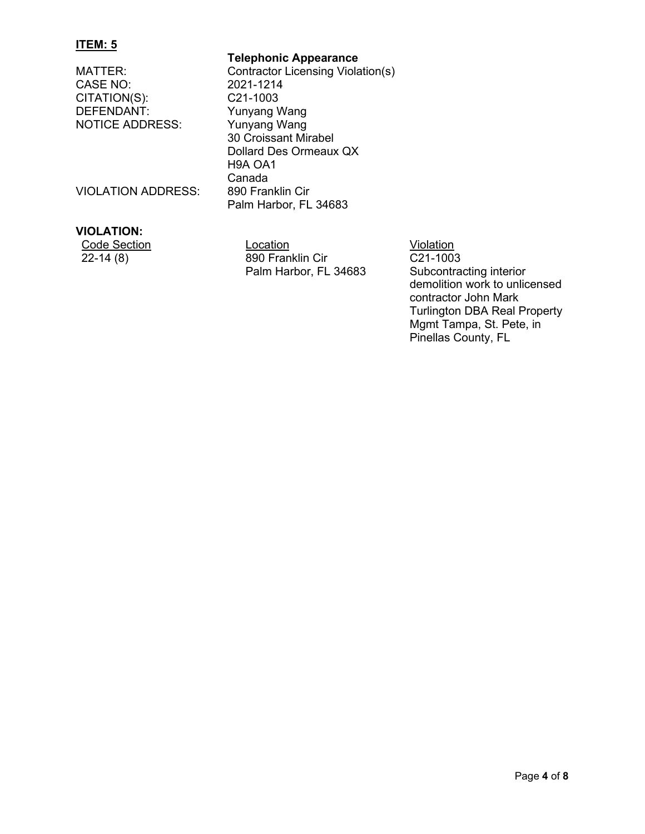### **ITEM: 5**

|                           | <b>Telephonic Appearance</b>      |
|---------------------------|-----------------------------------|
| MATTER:                   | Contractor Licensing Violation(s) |
| CASE NO:                  | 2021-1214                         |
| CITATION(S):              | C <sub>21</sub> -1003             |
| <b>DEFENDANT:</b>         | <b>Yunyang Wang</b>               |
| <b>NOTICE ADDRESS:</b>    | <b>Yunyang Wang</b>               |
|                           | 30 Croissant Mirabel              |
|                           | Dollard Des Ormeaux QX            |
|                           | H <sub>9</sub> A OA1              |
|                           | Canada                            |
| <b>VIOLATION ADDRESS:</b> | 890 Franklin Cir                  |
|                           | Palm Harbor, FL 34683             |
| VIOL ATION·               |                                   |

**VIOLATION:**

Code Section Location Location Location Violation Violation<br>22-14 (8) 890 Franklin Cir C21-1003 890 Franklin Cir Palm Harbor, FL 34683

C21-1003 Subcontracting interior demolition work to unlicensed contractor John Mark Turlington DBA Real Property Mgmt Tampa, St. Pete, in Pinellas County, FL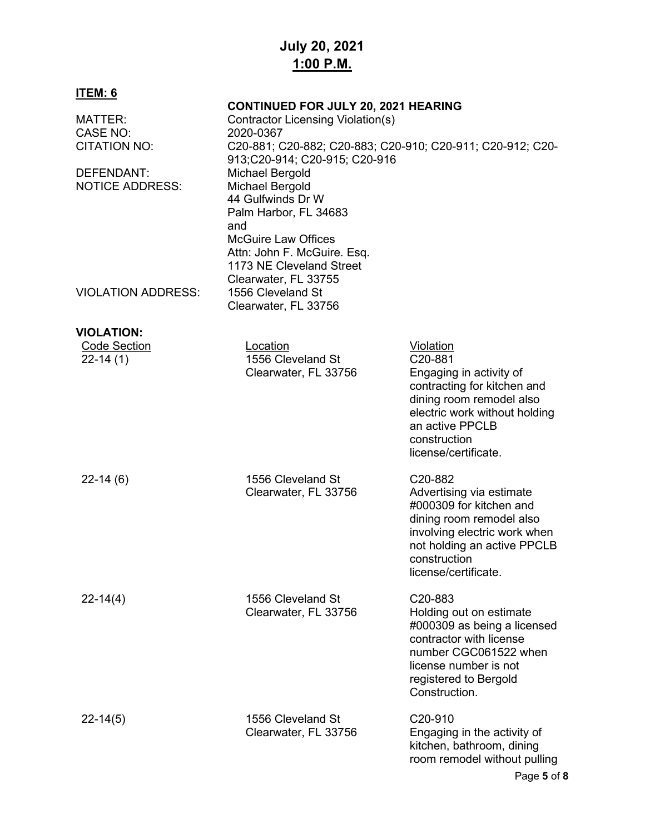# **July 20, 2021 1:00 P.M.**

| <u>ITEM: 6</u>            |                                                                                             |                               |  |
|---------------------------|---------------------------------------------------------------------------------------------|-------------------------------|--|
|                           | <b>CONTINUED FOR JULY 20, 2021 HEARING</b>                                                  |                               |  |
| MATTER:                   | <b>Contractor Licensing Violation(s)</b>                                                    |                               |  |
| <b>CASE NO:</b>           | 2020-0367                                                                                   |                               |  |
| <b>CITATION NO:</b>       | C20-881; C20-882; C20-883; C20-910; C20-911; C20-912; C20-<br>913;C20-914; C20-915; C20-916 |                               |  |
| DEFENDANT:                | <b>Michael Bergold</b>                                                                      |                               |  |
| <b>NOTICE ADDRESS:</b>    | <b>Michael Bergold</b>                                                                      |                               |  |
|                           | 44 Gulfwinds Dr W                                                                           |                               |  |
|                           | Palm Harbor, FL 34683                                                                       |                               |  |
|                           | and                                                                                         |                               |  |
|                           | <b>McGuire Law Offices</b>                                                                  |                               |  |
|                           | Attn: John F. McGuire. Esq.                                                                 |                               |  |
|                           | 1173 NE Cleveland Street                                                                    |                               |  |
|                           | Clearwater, FL 33755                                                                        |                               |  |
| <b>VIOLATION ADDRESS:</b> | 1556 Cleveland St                                                                           |                               |  |
|                           | Clearwater, FL 33756                                                                        |                               |  |
|                           |                                                                                             |                               |  |
| <b>VIOLATION:</b>         |                                                                                             |                               |  |
| <b>Code Section</b>       | Location                                                                                    | Violation                     |  |
| $22-14(1)$                | 1556 Cleveland St                                                                           | C20-881                       |  |
|                           | Clearwater, FL 33756                                                                        | Engaging in activity of       |  |
|                           |                                                                                             | contracting for kitchen and   |  |
|                           |                                                                                             | dining room remodel also      |  |
|                           |                                                                                             | electric work without holding |  |
|                           |                                                                                             | an active PPCLB               |  |
|                           |                                                                                             | construction                  |  |
|                           |                                                                                             | license/certificate.          |  |
| $22-14(6)$                | 1556 Cleveland St                                                                           | C <sub>20</sub> -882          |  |
|                           | Clearwater, FL 33756                                                                        | Advertising via estimate      |  |
|                           |                                                                                             | #000309 for kitchen and       |  |
|                           |                                                                                             | dining room remodel also      |  |
|                           |                                                                                             | involving electric work when  |  |
|                           |                                                                                             | not holding an active PPCLB   |  |
|                           |                                                                                             | construction                  |  |
|                           |                                                                                             | license/certificate.          |  |
|                           |                                                                                             |                               |  |
| $22 - 14(4)$              | 1556 Cleveland St                                                                           | C <sub>20</sub> -883          |  |
|                           | Clearwater, FL 33756                                                                        | Holding out on estimate       |  |
|                           |                                                                                             | #000309 as being a licensed   |  |
|                           |                                                                                             | contractor with license       |  |
|                           |                                                                                             | number CGC061522 when         |  |
|                           |                                                                                             | license number is not         |  |
|                           |                                                                                             | registered to Bergold         |  |
|                           |                                                                                             | Construction.                 |  |
|                           |                                                                                             |                               |  |
| $22 - 14(5)$              | 1556 Cleveland St                                                                           | C <sub>20</sub> -910          |  |
|                           | Clearwater, FL 33756                                                                        | Engaging in the activity of   |  |
|                           |                                                                                             | kitchen, bathroom, dining     |  |
|                           |                                                                                             | room remodel without pulling  |  |
|                           |                                                                                             |                               |  |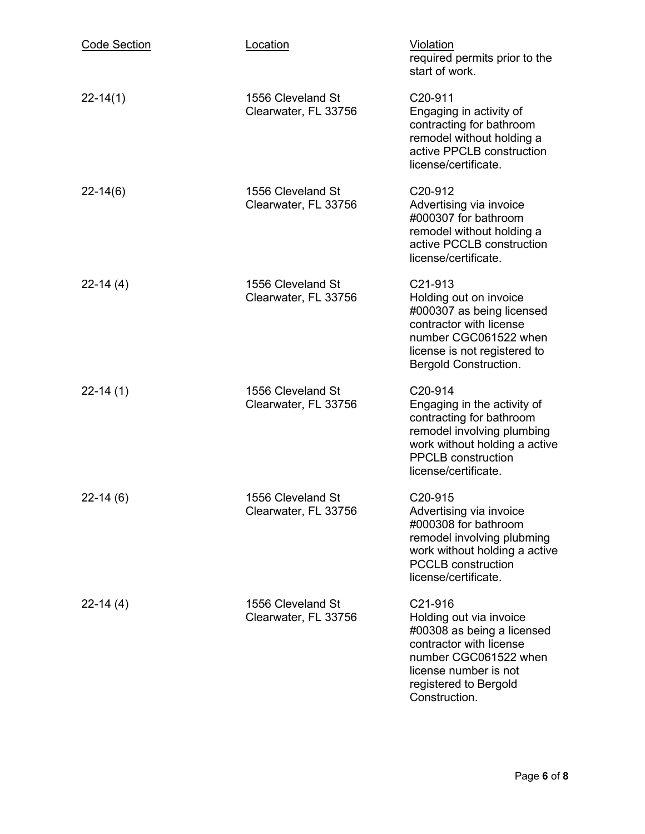| <b>Code Section</b> | Location                                  | <u>Violation</u><br>required permits prior to the<br>start of work.                                                                                                                                  |
|---------------------|-------------------------------------------|------------------------------------------------------------------------------------------------------------------------------------------------------------------------------------------------------|
| $22 - 14(1)$        | 1556 Cleveland St<br>Clearwater, FL 33756 | C <sub>20</sub> -911<br>Engaging in activity of<br>contracting for bathroom<br>remodel without holding a<br>active PPCLB construction<br>license/certificate.                                        |
| $22 - 14(6)$        | 1556 Cleveland St<br>Clearwater, FL 33756 | C <sub>20</sub> -912<br>Advertising via invoice<br>#000307 for bathroom<br>remodel without holding a<br>active PCCLB construction<br>license/certificate.                                            |
| $22-14(4)$          | 1556 Cleveland St<br>Clearwater, FL 33756 | C21-913<br>Holding out on invoice<br>#000307 as being licensed<br>contractor with license<br>number CGC061522 when<br>license is not registered to<br><b>Bergold Construction.</b>                   |
| $22-14(1)$          | 1556 Cleveland St<br>Clearwater, FL 33756 | C <sub>20</sub> -914<br>Engaging in the activity of<br>contracting for bathroom<br>remodel involving plumbing<br>work without holding a active<br><b>PPCLB</b> construction<br>license/certificate.  |
| $22-14(6)$          | 1556 Cleveland St<br>Clearwater, FL 33756 | C20-915<br>Advertising via invoice<br>#000308 for bathroom<br>remodel involving plubming<br>work without holding a active<br><b>PCCLB</b> construction<br>license/certificate.                       |
| $22-14(4)$          | 1556 Cleveland St<br>Clearwater, FL 33756 | C <sub>21</sub> -916<br>Holding out via invoice<br>#00308 as being a licensed<br>contractor with license<br>number CGC061522 when<br>license number is not<br>registered to Bergold<br>Construction. |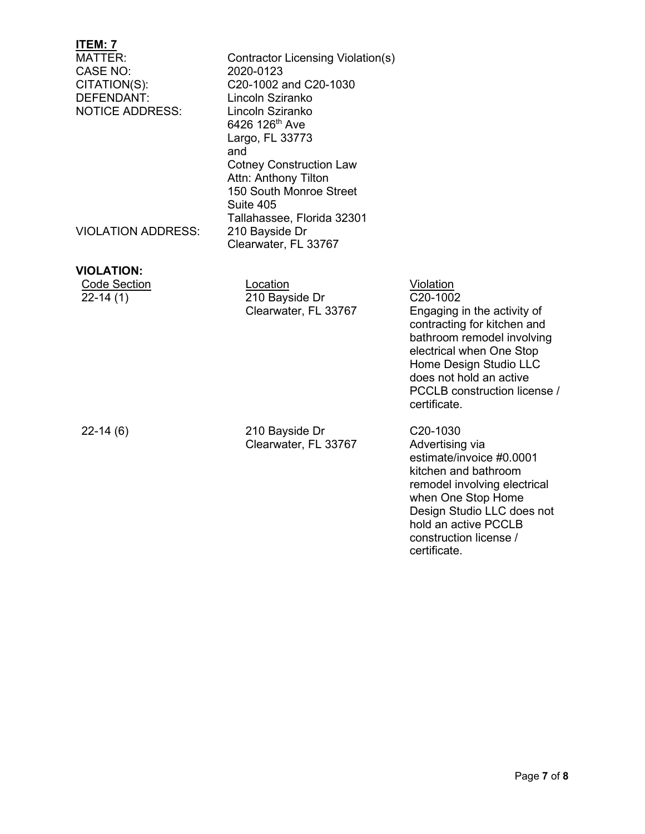| ITEM: 7<br>MATTER:<br>CASE NO:<br>CITATION(S):<br><b>DEFENDANT:</b><br><b>NOTICE ADDRESS:</b><br><b>VIOLATION ADDRESS:</b> | Contractor Licensing Violation(s)<br>2020-0123<br>C20-1002 and C20-1030<br>Lincoln Sziranko<br>Lincoln Sziranko<br>6426 126 <sup>th</sup> Ave<br>Largo, FL 33773<br>and<br><b>Cotney Construction Law</b><br>Attn: Anthony Tilton<br>150 South Monroe Street<br>Suite 405<br>Tallahassee, Florida 32301<br>210 Bayside Dr<br>Clearwater, FL 33767 |                                                                                                                                                                                                                                                                 |
|----------------------------------------------------------------------------------------------------------------------------|---------------------------------------------------------------------------------------------------------------------------------------------------------------------------------------------------------------------------------------------------------------------------------------------------------------------------------------------------|-----------------------------------------------------------------------------------------------------------------------------------------------------------------------------------------------------------------------------------------------------------------|
|                                                                                                                            |                                                                                                                                                                                                                                                                                                                                                   |                                                                                                                                                                                                                                                                 |
| <b>VIOLATION:</b><br><b>Code Section</b><br>$22-14(1)$                                                                     | Location<br>210 Bayside Dr<br>Clearwater, FL 33767                                                                                                                                                                                                                                                                                                | Violation<br>C <sub>20</sub> -1002<br>Engaging in the activity of<br>contracting for kitchen and<br>bathroom remodel involving<br>electrical when One Stop<br>Home Design Studio LLC<br>does not hold an active<br>PCCLB construction license /<br>certificate. |

### 22-14 (6)

210 Bayside Dr Clearwater, FL 33767

### C20-1030

Advertising via estimate/invoice #0.0001 kitchen and bathroom remodel involving electrical when One Stop Home Design Studio LLC does not hold an active PCCLB construction license / certificate.